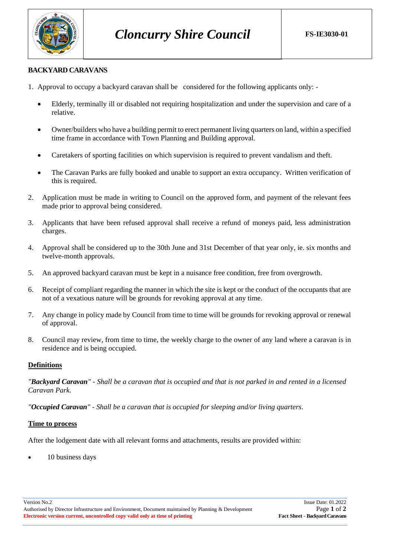

# **BACKYARD CARAVANS**

- 1. Approval to occupy a backyard caravan shall be considered for the following applicants only:
	- Elderly, terminally ill or disabled not requiring hospitalization and under the supervision and care of a relative.
	- Owner/builders who have a building permit to erect permanent living quarters on land, within a specified time frame in accordance with Town Planning and Building approval.
	- Caretakers of sporting facilities on which supervision is required to prevent vandalism and theft.
	- The Caravan Parks are fully booked and unable to support an extra occupancy. Written verification of this is required.
- 2. Application must be made in writing to Council on the approved form, and payment of the relevant fees made prior to approval being considered.
- 3. Applicants that have been refused approval shall receive a refund of moneys paid, less administration charges.
- 4. Approval shall be considered up to the 30th June and 31st December of that year only, ie. six months and twelve-month approvals.
- 5. An approved backyard caravan must be kept in a nuisance free condition, free from overgrowth.
- 6. Receipt of compliant regarding the manner in which the site is kept or the conduct of the occupants that are not of a vexatious nature will be grounds for revoking approval at any time.
- 7. Any change in policy made by Council from time to time will be grounds for revoking approval or renewal of approval.
- 8. Council may review, from time to time, the weekly charge to the owner of any land where a caravan is in residence and is being occupied.

#### **Definitions**

*"Backyard Caravan" - Shall be a caravan that is occupied and that is not parked in and rented in a licensed Caravan Park.*

*"Occupied Caravan" - Shall be a caravan that is occupied for sleeping and/or living quarters*.

#### **Time to process**

After the lodgement date with all relevant forms and attachments, results are provided within:

10 business days